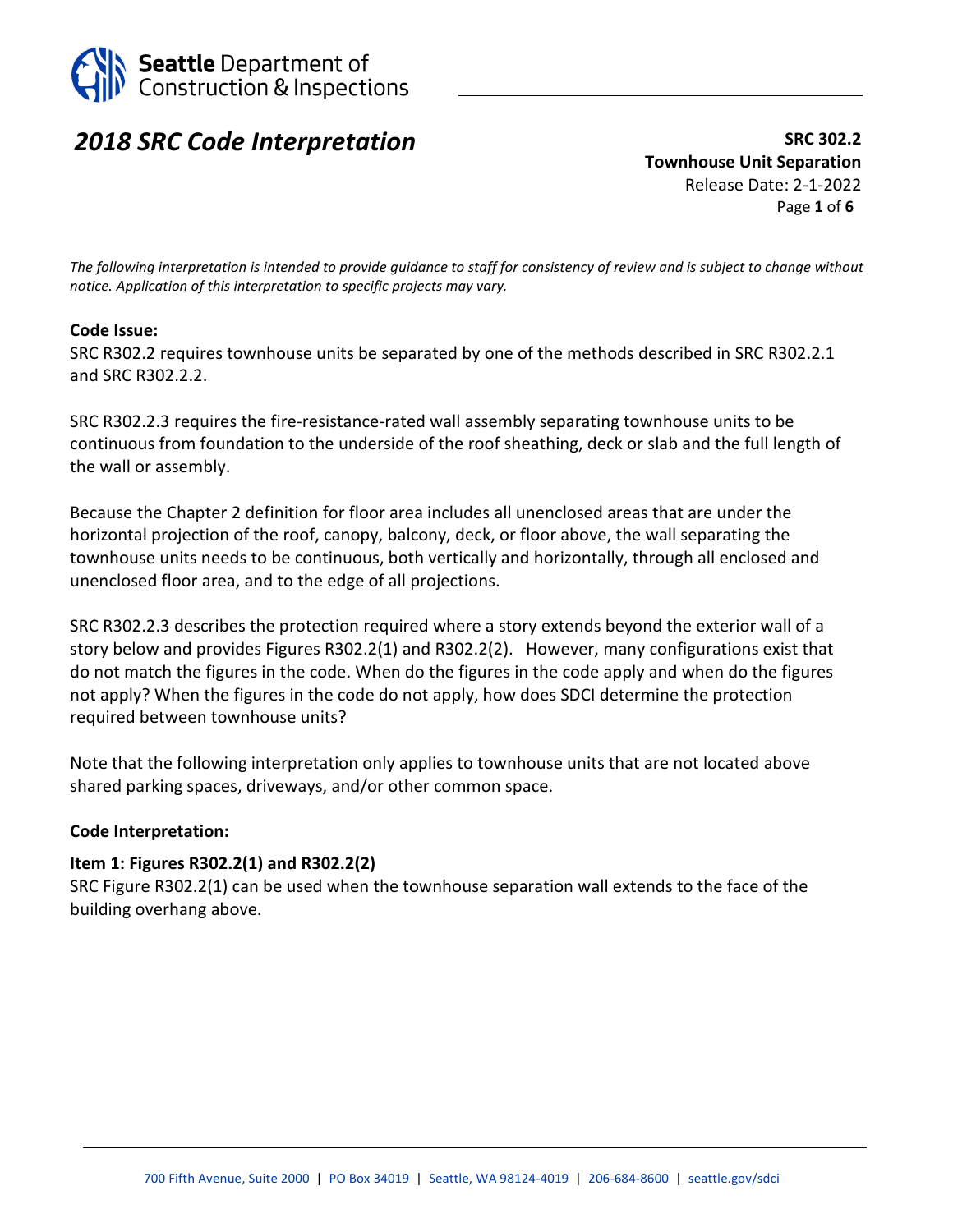

# *2018 SRC Code Interpretation*

**SRC 302.2 Townhouse Unit Separation** Release Date: 2-1-2022 Page **1** of **6**

*The following interpretation is intended to provide guidance to staff for consistency of review and is subject to change without notice. Application of this interpretation to specific projects may vary.*

### **Code Issue:**

SRC R302.2 requires townhouse units be separated by one of the methods described in SRC R302.2.1 and SRC R302.2.2.

SRC R302.2.3 requires the fire-resistance-rated wall assembly separating townhouse units to be continuous from foundation to the underside of the roof sheathing, deck or slab and the full length of the wall or assembly.

Because the Chapter 2 definition for floor area includes all unenclosed areas that are under the horizontal projection of the roof, canopy, balcony, deck, or floor above, the wall separating the townhouse units needs to be continuous, both vertically and horizontally, through all enclosed and unenclosed floor area, and to the edge of all projections.

SRC R302.2.3 describes the protection required where a story extends beyond the exterior wall of a story below and provides Figures R302.2(1) and R302.2(2). However, many configurations exist that do not match the figures in the code. When do the figures in the code apply and when do the figures not apply? When the figures in the code do not apply, how does SDCI determine the protection required between townhouse units?

Note that the following interpretation only applies to townhouse units that are not located above shared parking spaces, driveways, and/or other common space.

#### **Code Interpretation:**

#### **Item 1: Figures R302.2(1) and R302.2(2)**

SRC Figure R302.2(1) can be used when the townhouse separation wall extends to the face of the building overhang above.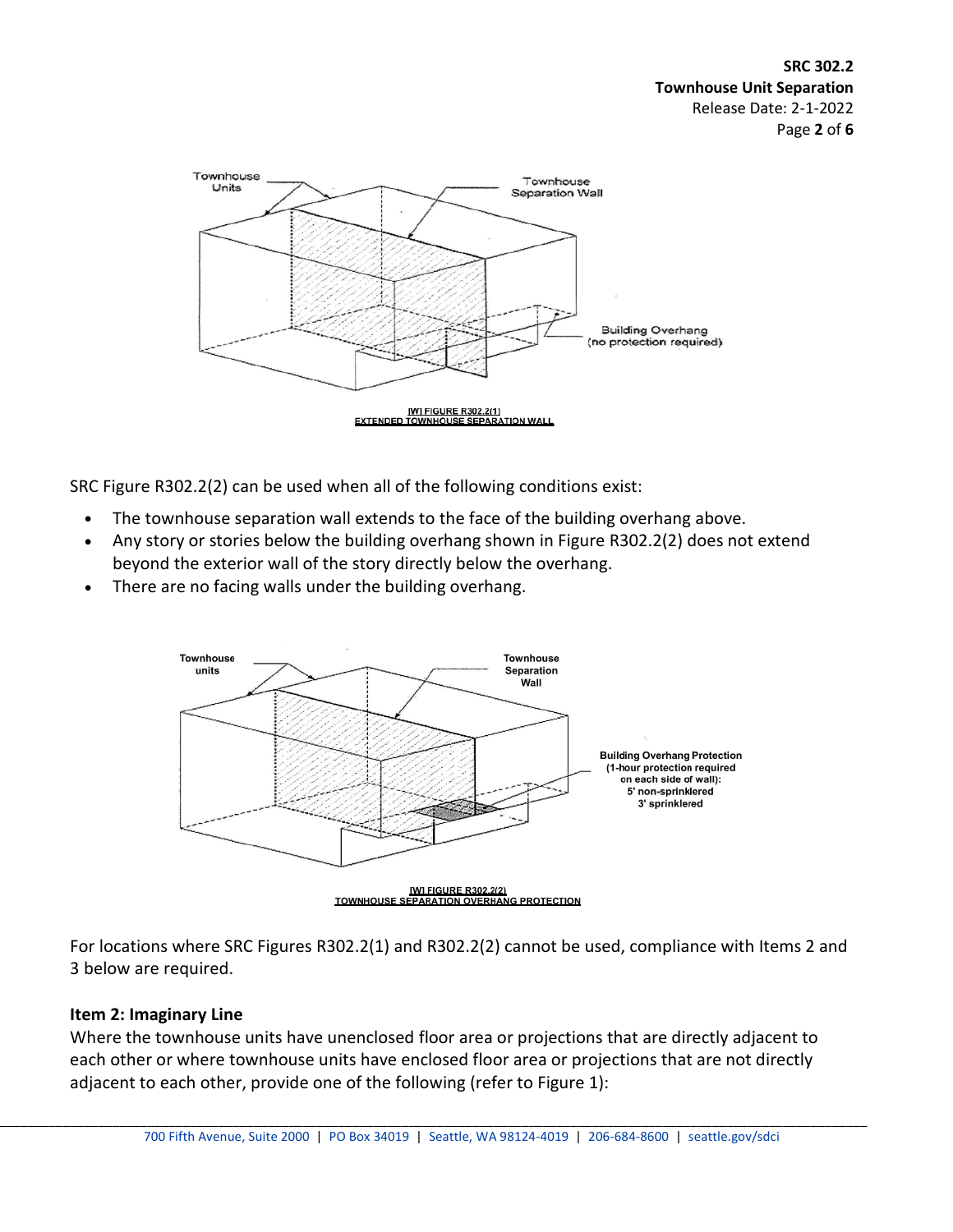

SRC Figure R302.2(2) can be used when all of the following conditions exist:

- The townhouse separation wall extends to the face of the building overhang above.
- Any story or stories below the building overhang shown in Figure R302.2(2) does not extend beyond the exterior wall of the story directly below the overhang.
- There are no facing walls under the building overhang.



For locations where SRC Figures R302.2(1) and R302.2(2) cannot be used, compliance with Items 2 and 3 below are required.

### **Item 2: Imaginary Line**

Where the townhouse units have unenclosed floor area or projections that are directly adjacent to each other or where townhouse units have enclosed floor area or projections that are not directly adjacent to each other, provide one of the following (refer to Figure 1):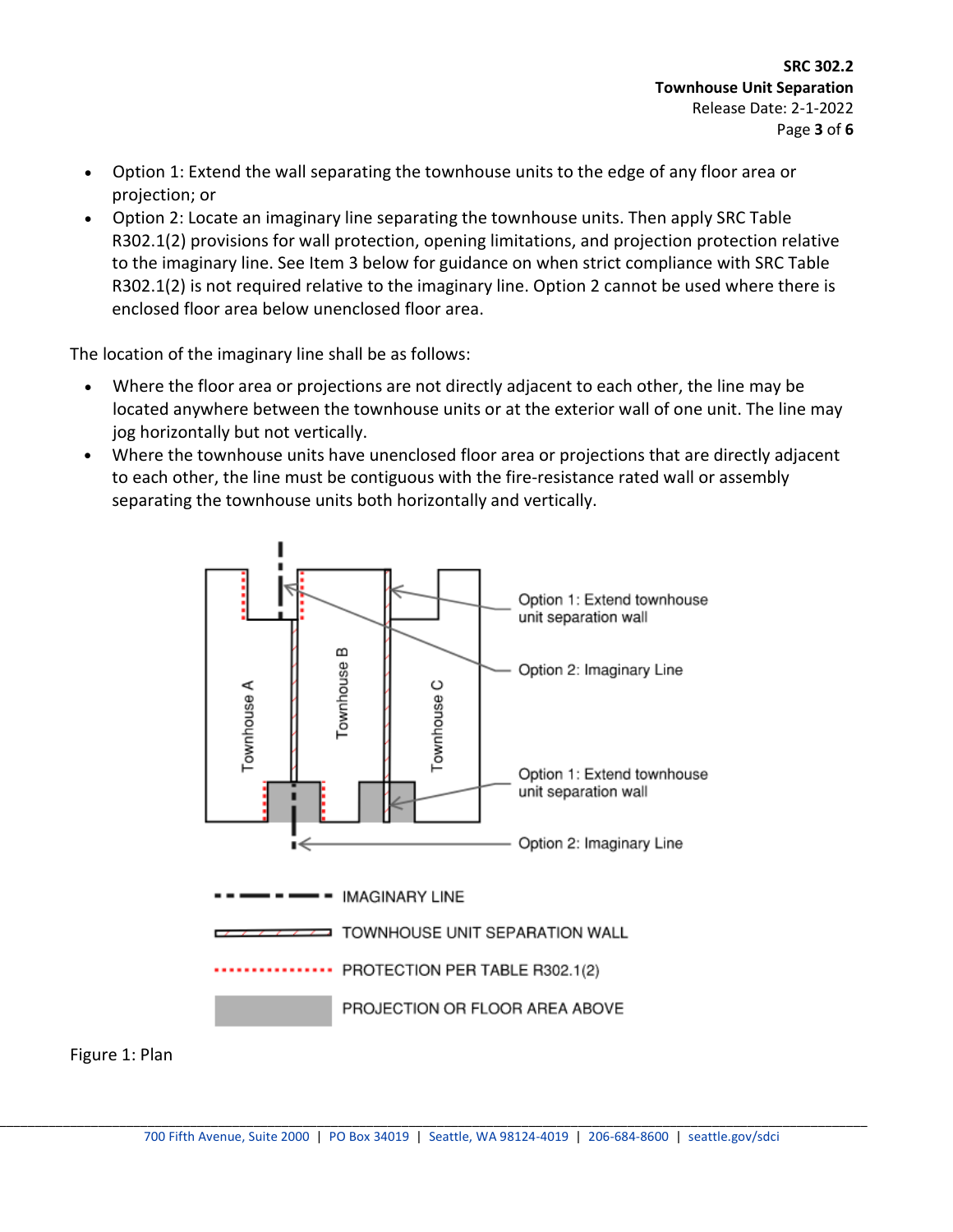- Option 1: Extend the wall separating the townhouse units to the edge of any floor area or projection; or
- Option 2: Locate an imaginary line separating the townhouse units. Then apply SRC Table R302.1(2) provisions for wall protection, opening limitations, and projection protection relative to the imaginary line. See Item 3 below for guidance on when strict compliance with SRC Table R302.1(2) is not required relative to the imaginary line. Option 2 cannot be used where there is enclosed floor area below unenclosed floor area.

The location of the imaginary line shall be as follows:

- Where the floor area or projections are not directly adjacent to each other, the line may be located anywhere between the townhouse units or at the exterior wall of one unit. The line may jog horizontally but not vertically.
- Where the townhouse units have unenclosed floor area or projections that are directly adjacent to each other, the line must be contiguous with the fire-resistance rated wall or assembly separating the townhouse units both horizontally and vertically.



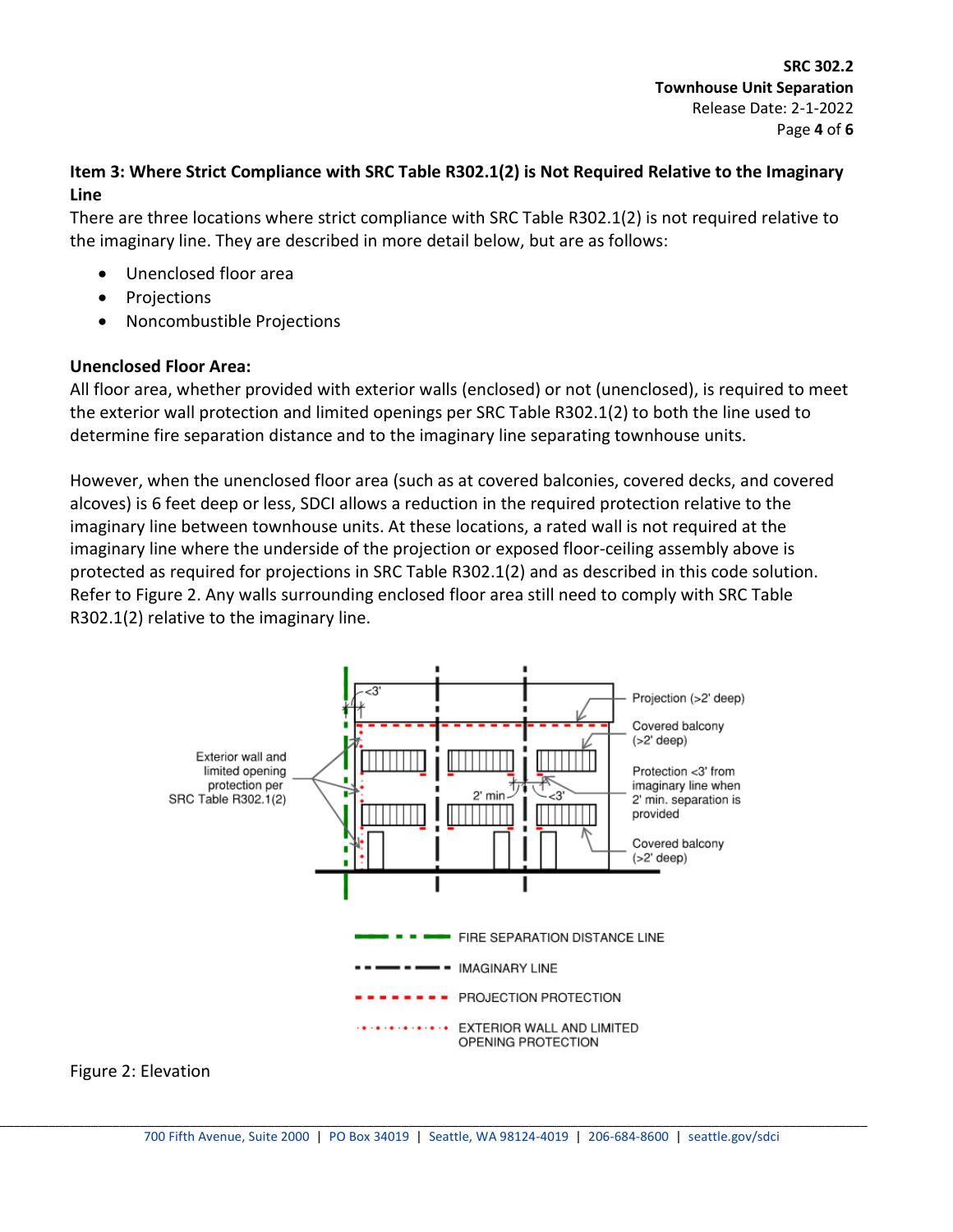# **Item 3: Where Strict Compliance with SRC Table R302.1(2) is Not Required Relative to the Imaginary Line**

There are three locations where strict compliance with SRC Table R302.1(2) is not required relative to the imaginary line. They are described in more detail below, but are as follows:

- Unenclosed floor area
- **Projections**
- Noncombustible Projections

### **Unenclosed Floor Area:**

All floor area, whether provided with exterior walls (enclosed) or not (unenclosed), is required to meet the exterior wall protection and limited openings per SRC Table R302.1(2) to both the line used to determine fire separation distance and to the imaginary line separating townhouse units.

However, when the unenclosed floor area (such as at covered balconies, covered decks, and covered alcoves) is 6 feet deep or less, SDCI allows a reduction in the required protection relative to the imaginary line between townhouse units. At these locations, a rated wall is not required at the imaginary line where the underside of the projection or exposed floor-ceiling assembly above is protected as required for projections in SRC Table R302.1(2) and as described in this code solution. Refer to Figure 2. Any walls surrounding enclosed floor area still need to comply with SRC Table R302.1(2) relative to the imaginary line.



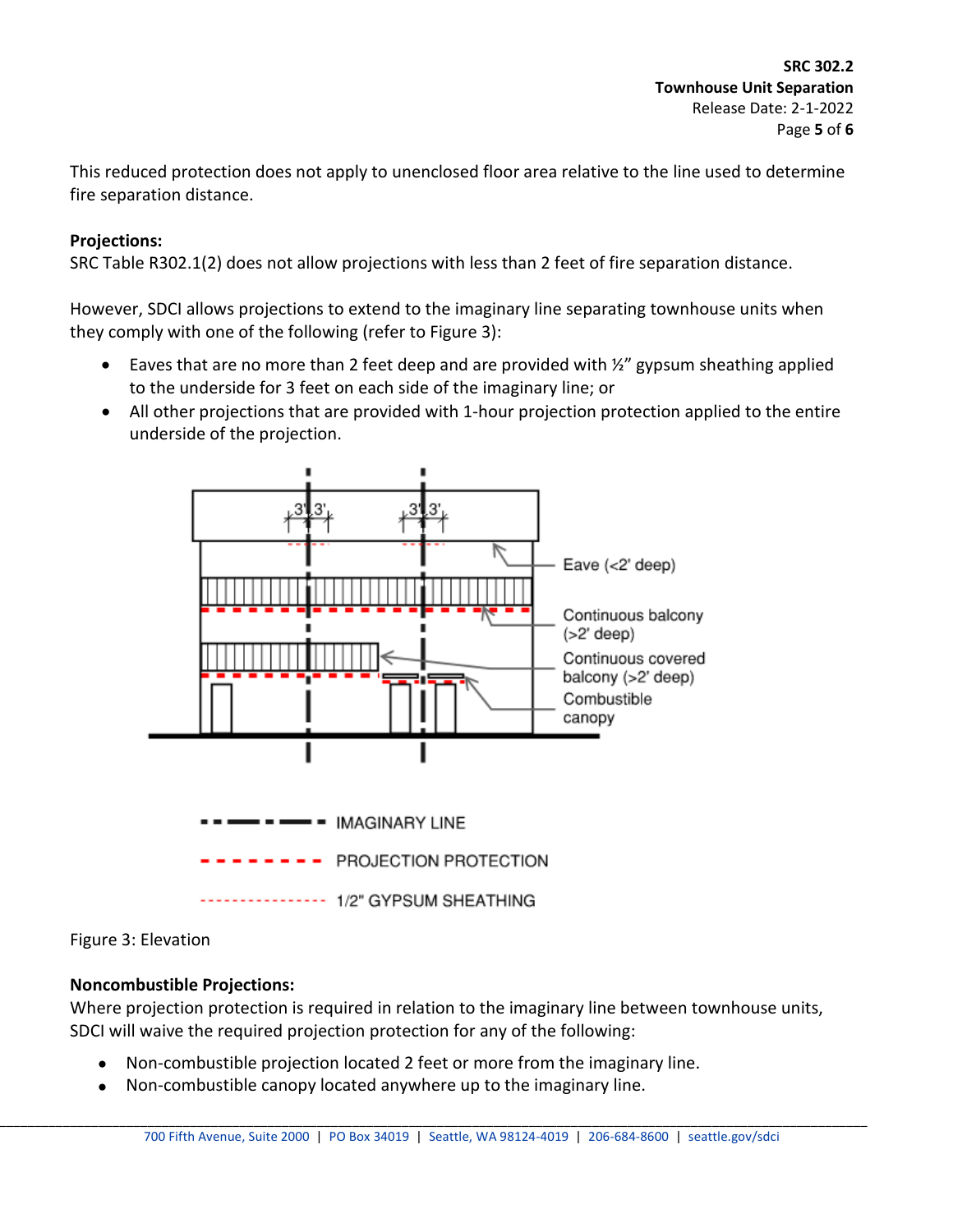This reduced protection does not apply to unenclosed floor area relative to the line used to determine fire separation distance.

## **Projections:**

SRC Table R302.1(2) does not allow projections with less than 2 feet of fire separation distance.

However, SDCI allows projections to extend to the imaginary line separating townhouse units when they comply with one of the following (refer to Figure 3):

- Eaves that are no more than 2 feet deep and are provided with  $\frac{1}{2}$  gypsum sheathing applied to the underside for 3 feet on each side of the imaginary line; or
- All other projections that are provided with 1-hour projection protection applied to the entire underside of the projection.



Figure 3: Elevation

# **Noncombustible Projections:**

Where projection protection is required in relation to the imaginary line between townhouse units, SDCI will waive the required projection protection for any of the following:

- Non-combustible projection located 2 feet or more from the imaginary line.
- Non-combustible canopy located anywhere up to the imaginary line.